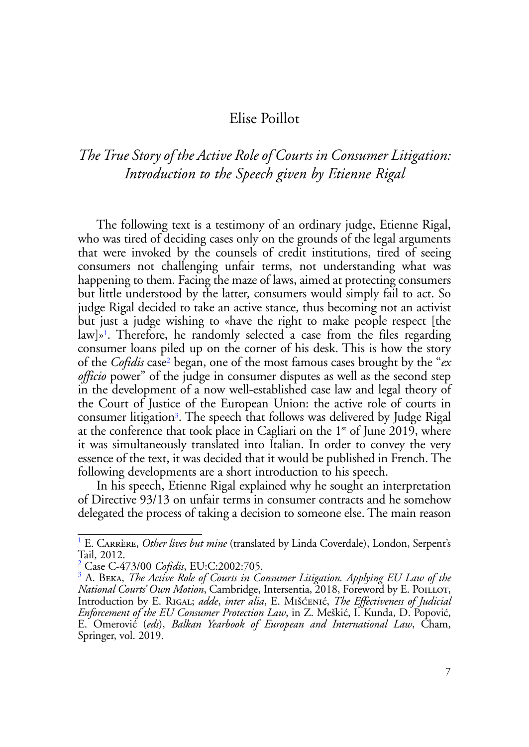## Elise Poillot

## *The True Story of the Active Role of Courts in Consumer Litigation: Introduction to the Speech given by Etienne Rigal*

The following text is a testimony of an ordinary judge, Etienne Rigal, who was tired of deciding cases only on the grounds of the legal arguments that were invoked by the counsels of credit institutions, tired of seeing consumers not challenging unfair terms, not understanding what was happening to them. Facing the maze of laws, aimed at protecting consumers but little understood by the latter, consumers would simply fail to act. So judge Rigal decided to take an active stance, thus becoming not an activist but just a judge wishing to «have the right to make people respect [the law]»<sup>1</sup>. Therefore, he randomly selected a case from the files regarding consumer loans piled up on the corner of his desk. This is how the story of the *Cofidis* case2 began, one of the most famous cases brought by the "*ex officio* power" of the judge in consumer disputes as well as the second step in the development of a now well-established case law and legal theory of the Court of Justice of the European Union: the active role of courts in consumer litigation3. The speech that follows was delivered by Judge Rigal at the conference that took place in Cagliari on the  $1<sup>st</sup>$  of June 2019, where it was simultaneously translated into Italian. In order to convey the very essence of the text, it was decided that it would be published in French. The following developments are a short introduction to his speech.

In his speech, Etienne Rigal explained why he sought an interpretation of Directive 93/13 on unfair terms in consumer contracts and he somehow delegated the process of taking a decision to someone else. The main reason

<sup>&</sup>lt;sup>1</sup> E. CARRÈRE, Other lives but mine (translated by Linda Coverdale), London, Serpent's Tail, 2012.

<sup>2</sup> Case C-473/00 *Cofidis*, EU:C:2002:705.

<sup>&</sup>lt;sup>3</sup> A. BEKA, *The Active Role of Courts in Consumer Litigation. Applying EU Law of the National Courts' Own Motion*, Cambridge, Intersentia, 2018, Foreword by E. POILLOT, Introduction by E. Rigal; *adde*, *inter alia*, E. Mišćenić, *The Effectiveness of Judicial Enforcement of the EU Consumer Protection Law*, in Z. Meškić, I. Kunda, D. Popović, E. Omerović (*eds*), *Balkan Yearbook of European and International Law*, Cham, Springer, vol. 2019.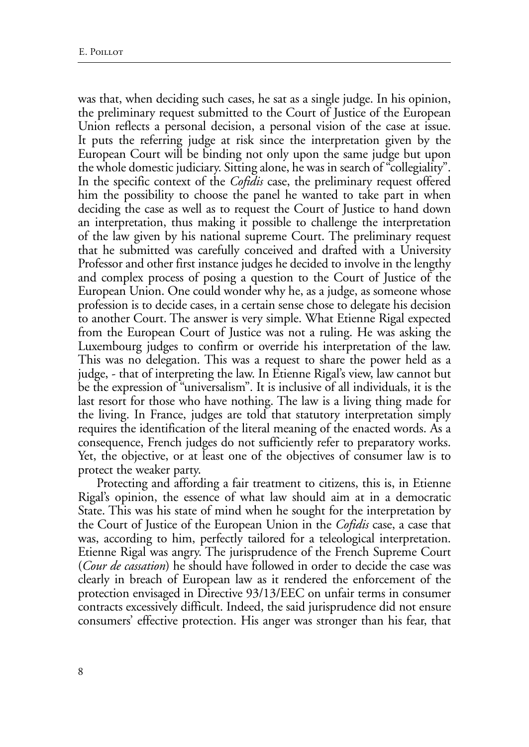was that, when deciding such cases, he sat as a single judge. In his opinion, the preliminary request submitted to the Court of Justice of the European Union reflects a personal decision, a personal vision of the case at issue. It puts the referring judge at risk since the interpretation given by the European Court will be binding not only upon the same judge but upon the whole domestic judiciary. Sitting alone, he was in search of "collegiality". In the specific context of the *Cofidis* case, the preliminary request offered him the possibility to choose the panel he wanted to take part in when deciding the case as well as to request the Court of Justice to hand down an interpretation, thus making it possible to challenge the interpretation of the law given by his national supreme Court. The preliminary request that he submitted was carefully conceived and drafted with a University Professor and other first instance judges he decided to involve in the lengthy and complex process of posing a question to the Court of Justice of the European Union. One could wonder why he, as a judge, as someone whose profession is to decide cases, in a certain sense chose to delegate his decision to another Court. The answer is very simple. What Etienne Rigal expected from the European Court of Justice was not a ruling. He was asking the Luxembourg judges to confirm or override his interpretation of the law. This was no delegation. This was a request to share the power held as a judge, - that of interpreting the law. In Etienne Rigal's view, law cannot but be the expression of "universalism". It is inclusive of all individuals, it is the last resort for those who have nothing. The law is a living thing made for the living. In France, judges are told that statutory interpretation simply requires the identification of the literal meaning of the enacted words. As a consequence, French judges do not sufficiently refer to preparatory works. Yet, the objective, or at least one of the objectives of consumer law is to protect the weaker party.

Protecting and affording a fair treatment to citizens, this is, in Etienne Rigal's opinion, the essence of what law should aim at in a democratic State. This was his state of mind when he sought for the interpretation by the Court of Justice of the European Union in the *Cofidis* case, a case that was, according to him, perfectly tailored for a teleological interpretation. Etienne Rigal was angry. The jurisprudence of the French Supreme Court (*Cour de cassation*) he should have followed in order to decide the case was clearly in breach of European law as it rendered the enforcement of the protection envisaged in Directive 93/13/EEC on unfair terms in consumer contracts excessively difficult. Indeed, the said jurisprudence did not ensure consumers' effective protection. His anger was stronger than his fear, that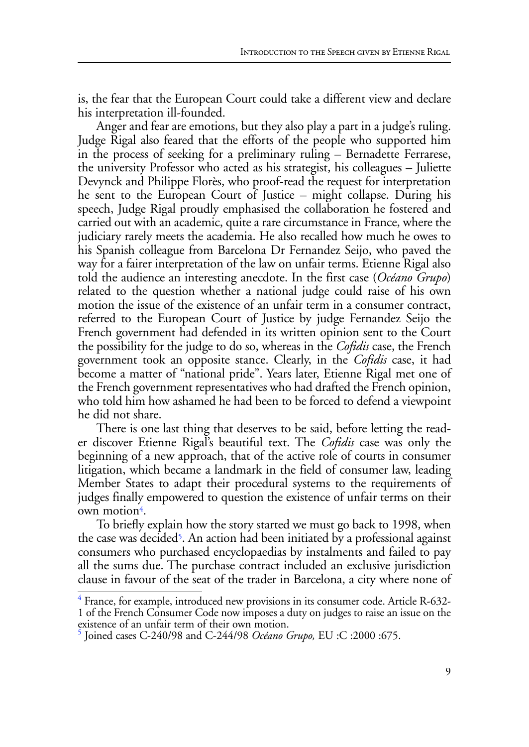is, the fear that the European Court could take a different view and declare his interpretation ill-founded.

Anger and fear are emotions, but they also play a part in a judge's ruling. Judge Rigal also feared that the efforts of the people who supported him in the process of seeking for a preliminary ruling – Bernadette Ferrarese, the university Professor who acted as his strategist, his colleagues – Juliette Devynck and Philippe Florès, who proof-read the request for interpretation he sent to the European Court of Justice – might collapse. During his speech, Judge Rigal proudly emphasised the collaboration he fostered and carried out with an academic, quite a rare circumstance in France, where the judiciary rarely meets the academia. He also recalled how much he owes to his Spanish colleague from Barcelona Dr Fernandez Seijo, who paved the way for a fairer interpretation of the law on unfair terms. Etienne Rigal also told the audience an interesting anecdote. In the first case (*Océano Grupo*) related to the question whether a national judge could raise of his own motion the issue of the existence of an unfair term in a consumer contract, referred to the European Court of Justice by judge Fernandez Seijo the French government had defended in its written opinion sent to the Court the possibility for the judge to do so, whereas in the *Cofidis* case, the French government took an opposite stance. Clearly, in the *Cofidis* case, it had become a matter of "national pride". Years later, Etienne Rigal met one of the French government representatives who had drafted the French opinion, who told him how ashamed he had been to be forced to defend a viewpoint he did not share.

There is one last thing that deserves to be said, before letting the reader discover Etienne Rigal's beautiful text. The *Cofidis* case was only the beginning of a new approach, that of the active role of courts in consumer litigation, which became a landmark in the field of consumer law, leading Member States to adapt their procedural systems to the requirements of judges finally empowered to question the existence of unfair terms on their own motion<sup>4</sup>.

To briefly explain how the story started we must go back to 1998, when the case was decided<sup>5</sup>. An action had been initiated by a professional against consumers who purchased encyclopaedias by instalments and failed to pay all the sums due. The purchase contract included an exclusive jurisdiction clause in favour of the seat of the trader in Barcelona, a city where none of

<sup>&</sup>lt;sup>4</sup> France, for example, introduced new provisions in its consumer code. Article R-632-1 of the French Consumer Code now imposes a duty on judges to raise an issue on the existence of an unfair term of their own motion.

<sup>5</sup> Joined cases C-240/98 and C-244/98 *Océano Grupo,* EU :C :2000 :675.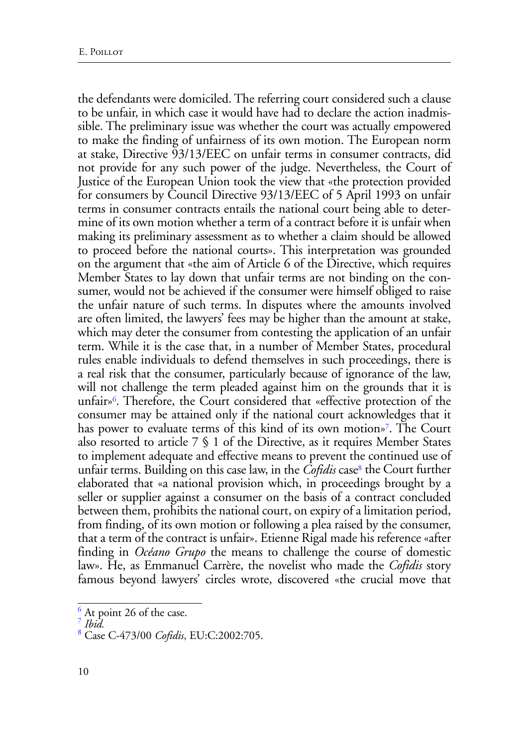the defendants were domiciled. The referring court considered such a clause to be unfair, in which case it would have had to declare the action inadmissible. The preliminary issue was whether the court was actually empowered to make the finding of unfairness of its own motion. The European norm at stake, Directive 93/13/EEC on unfair terms in consumer contracts, did not provide for any such power of the judge. Nevertheless, the Court of Justice of the European Union took the view that «the protection provided for consumers by Council Directive 93/13/EEC of 5 April 1993 on unfair terms in consumer contracts entails the national court being able to determine of its own motion whether a term of a contract before it is unfair when making its preliminary assessment as to whether a claim should be allowed to proceed before the national courts». This interpretation was grounded on the argument that «the aim of Article 6 of the Directive, which requires Member States to lay down that unfair terms are not binding on the consumer, would not be achieved if the consumer were himself obliged to raise the unfair nature of such terms. In disputes where the amounts involved are often limited, the lawyers' fees may be higher than the amount at stake, which may deter the consumer from contesting the application of an unfair term. While it is the case that, in a number of Member States, procedural rules enable individuals to defend themselves in such proceedings, there is a real risk that the consumer, particularly because of ignorance of the law, will not challenge the term pleaded against him on the grounds that it is unfair»6. Therefore, the Court considered that «effective protection of the consumer may be attained only if the national court acknowledges that it has power to evaluate terms of this kind of its own motion»<sup>7</sup>. The Court also resorted to article 7 § 1 of the Directive, as it requires Member States to implement adequate and effective means to prevent the continued use of unfair terms. Building on this case law, in the *Cofidis* case<sup>8</sup> the Court further elaborated that «a national provision which, in proceedings brought by a seller or supplier against a consumer on the basis of a contract concluded between them, prohibits the national court, on expiry of a limitation period, from finding, of its own motion or following a plea raised by the consumer, that a term of the contract is unfair». Etienne Rigal made his reference «after finding in *Océano Grupo* the means to challenge the course of domestic law». He, as Emmanuel Carrère, the novelist who made the *Cofidis* story famous beyond lawyers' circles wrote, discovered «the crucial move that

 $\frac{6}{5}$  At point 26 of the case.

<sup>7</sup> *Ibid.*

<sup>8</sup> Case C-473/00 *Cofidis*, EU:C:2002:705.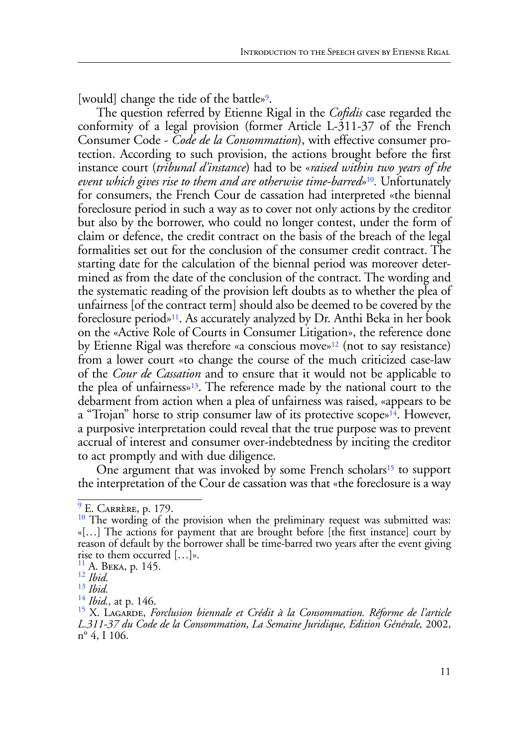[would] change the tide of the battle»<sup>9</sup>.

The question referred by Etienne Rigal in the *Cofidis* case regarded the conformity of a legal provision (former Article L-311-37 of the French Consumer Code - *Code de la Consommation*), with effective consumer protection. According to such provision, the actions brought before the first instance court (*tribunal d'instance*) had to be «*raised within two years of the event which gives rise to them and are otherwise time-barred*»10*.* Unfortunately for consumers, the French Cour de cassation had interpreted «the biennal foreclosure period in such a way as to cover not only actions by the creditor but also by the borrower, who could no longer contest, under the form of claim or defence, the credit contract on the basis of the breach of the legal formalities set out for the conclusion of the consumer credit contract. The starting date for the calculation of the biennal period was moreover determined as from the date of the conclusion of the contract. The wording and the systematic reading of the provision left doubts as to whether the plea of unfairness [of the contract term] should also be deemed to be covered by the foreclosure period»11. As accurately analyzed by Dr. Anthi Beka in her book on the «Active Role of Courts in Consumer Litigation», the reference done by Etienne Rigal was therefore «a conscious move»12 (not to say resistance) from a lower court «to change the course of the much criticized case-law of the *Cour de Cassation* and to ensure that it would not be applicable to the plea of unfairness»13. The reference made by the national court to the debarment from action when a plea of unfairness was raised, «appears to be a "Trojan" horse to strip consumer law of its protective scope»<sup>14</sup>. However, a purposive interpretation could reveal that the true purpose was to prevent accrual of interest and consumer over-indebtedness by inciting the creditor to act promptly and with due diligence.

One argument that was invoked by some French scholars<sup>15</sup> to support the interpretation of the Cour de cassation was that «the foreclosure is a way

 $9 \text{ E.}$  Carrère, p. 179. 10 The wording of the provision when the preliminary request was submitted was: «[…] The actions for payment that are brought before [the first instance] court by reason of default by the borrower shall be time-barred two years after the event giving rise to them occurred […]».

<sup>11</sup> A. Beka, p. 145. <sup>12</sup> *Ibid.*

<sup>&</sup>lt;sup>13</sup> *Ibid.*<br><sup>14</sup> *Ibid.*, at p. 146.

<sup>&</sup>lt;sup>15</sup> X. Lagarde, *Forclusion biennale et Crédit à la Consommation. Réforme de l'article L.311-37 du Code de la Consommation*, *La Semaine Juridique, Edition Générale,* 2002, n° 4, I 106.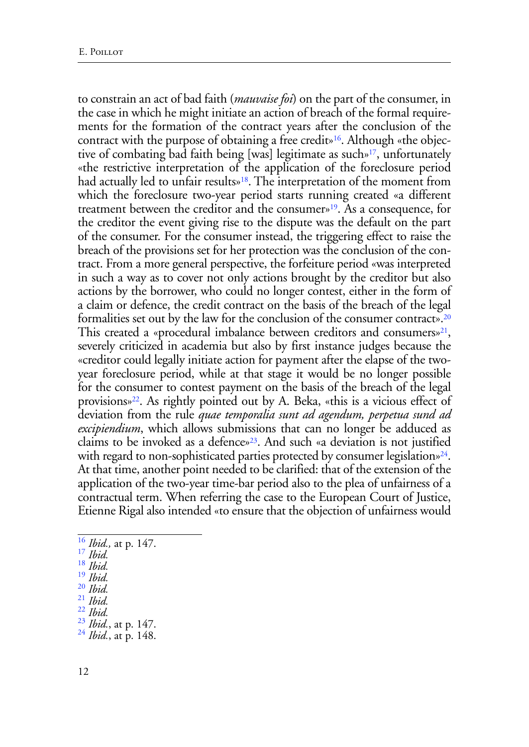to constrain an act of bad faith (*mauvaise foi*) on the part of the consumer, in the case in which he might initiate an action of breach of the formal requirements for the formation of the contract years after the conclusion of the contract with the purpose of obtaining a free credit»16. Although «the objective of combating bad faith being [was] legitimate as such»17, unfortunately «the restrictive interpretation of the application of the foreclosure period had actually led to unfair results<sup>\*18</sup>. The interpretation of the moment from which the foreclosure two-year period starts running created «a different treatment between the creditor and the consumer»19. As a consequence, for the creditor the event giving rise to the dispute was the default on the part of the consumer. For the consumer instead, the triggering effect to raise the breach of the provisions set for her protection was the conclusion of the contract. From a more general perspective, the forfeiture period «was interpreted in such a way as to cover not only actions brought by the creditor but also actions by the borrower, who could no longer contest, either in the form of a claim or defence, the credit contract on the basis of the breach of the legal formalities set out by the law for the conclusion of the consumer contract».20 This created a «procedural imbalance between creditors and consumers»<sup>21</sup>, severely criticized in academia but also by first instance judges because the «creditor could legally initiate action for payment after the elapse of the twoyear foreclosure period, while at that stage it would be no longer possible for the consumer to contest payment on the basis of the breach of the legal provisions»22. As rightly pointed out by A. Beka, «this is a vicious effect of deviation from the rule *quae temporalia sunt ad agendum, perpetua sund ad excipiendium*, which allows submissions that can no longer be adduced as claims to be invoked as a defence»23. And such «a deviation is not justified with regard to non-sophisticated parties protected by consumer legislation $\frac{24}{4}$ . At that time, another point needed to be clarified: that of the extension of the application of the two-year time-bar period also to the plea of unfairness of a contractual term. When referring the case to the European Court of Justice, Etienne Rigal also intended «to ensure that the objection of unfairness would

<sup>16</sup> *Ibid.,* at p. 147. <sup>17</sup> *Ibid.*

<sup>18</sup> *Ibid.*

<sup>19</sup> *Ibid.*

<sup>20</sup> *Ibid.* 21 *Ibid.* 22 *Ibid.*

<sup>23</sup> *Ibid.*, at p. 147. <sup>24</sup> *Ibid.*, at p. 148.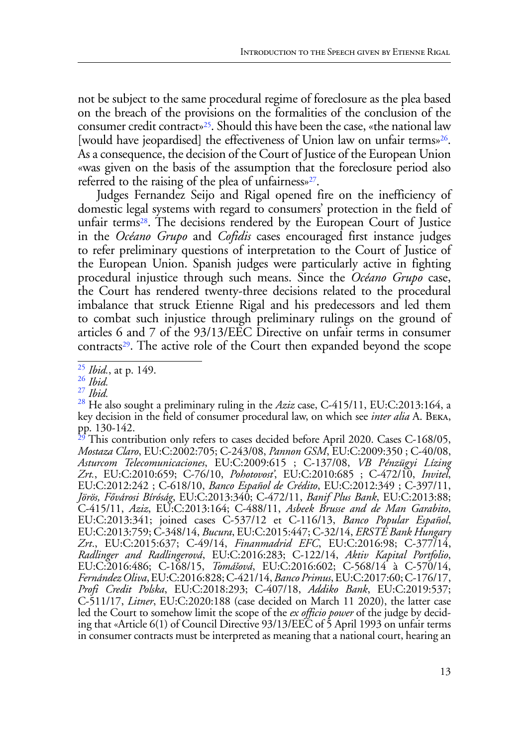not be subject to the same procedural regime of foreclosure as the plea based on the breach of the provisions on the formalities of the conclusion of the consumer credit contract»25. Should this have been the case, «the national law [would have jeopardised] the effectiveness of Union law on unfair terms»<sup>26</sup>. As a consequence, the decision of the Court of Justice of the European Union «was given on the basis of the assumption that the foreclosure period also referred to the raising of the plea of unfairness»27.

Judges Fernandez Seijo and Rigal opened fire on the inefficiency of domestic legal systems with regard to consumers' protection in the field of unfair terms<sup>28</sup>. The decisions rendered by the European Court of Justice in the *Océano Grupo* and *Cofidis* cases encouraged first instance judges to refer preliminary questions of interpretation to the Court of Justice of the European Union. Spanish judges were particularly active in fighting procedural injustice through such means. Since the *Océano Grupo* case, the Court has rendered twenty-three decisions related to the procedural imbalance that struck Etienne Rigal and his predecessors and led them to combat such injustice through preliminary rulings on the ground of articles 6 and 7 of the 93/13/EEC Directive on unfair terms in consumer contracts<sup>29</sup>. The active role of the Court then expanded beyond the scope

 $\mathcal{F}$ This contribution only refers to cases decided before April 2020. Cases C-168/05, *Mostaza Claro*, EU:C:2002:705; C-243/08, *Pannon GSM*, EU:C:2009:350 ; C-40/08, *Asturcom Telecomunicaciones*, EU:C:2009:615 ; C-137/08, *VB Pénzügyi Lízing Zrt.*, EU:C:2010:659; C-76/10, *Pohotovost'*, EU:C:2010:685 ; C-472/10, *Invitel*, EU:C:2012:242 ; C-618/10, *Banco Español de Crédito*, EU:C:2012:349 ; C-397/11, *Jörös, Fővárosi Bíróság*, EU:C:2013:340; C-472/11, *Banif Plus Bank*, EU:C:2013:88; EU:C:2013:341; joined cases C-537/12 et C-116/13, *Banco Popular Español*, EU:C:2013:759; C-348/14, *Bucura*, EU:C:2015:447; C-32/14, *ERSTE Bank Hungary Zrt*., EU:C:2015:637; C-49/14, *Finanmadrid EFC*, EU:C:2016:98; C-377/14, *Radlinger and Radlingerová*, EU:C:2016:283; C-122/14, *Aktiv Kapital Portfolio*, EU:C:2016:486; C-168/15, *Tomášová*, EU:C:2016:602; C-568/14 à C-570/14, *Fernández Oliva*, EU:C:2016:828; C-421/14, *Banco Primus*, EU:C:2017:60; C-176/17, *Profi Credit Polska*, EU:C:2018:293; C-407/18, *Addiko Bank*, EU:C:2019:537; C-511/17, *Litner*, EU:C:2020:188 (case decided on March 11 2020), the latter case led the Court to somehow limit the scope of the *ex officio power* of the judge by decid- ing that «Article 6(1) of Council Directive 93/13/EEC of 5 April 1993 on unfair terms in consumer contracts must be interpreted as meaning that a national court, hearing an

<sup>25</sup> *Ibid.*, at p. 149. <sup>26</sup> *Ibid.*

<sup>27</sup> *Ibid.*

<sup>&</sup>lt;sup>28</sup> He also sought a preliminary ruling in the *Aziz* case, C-415/11, EU:C:2013:164, a key decision in the field of consumer procedural law, on which see *inter alia* A. Beka, pp. 130-142.<br><sup>29</sup> This contribution as  $\frac{1}{2}$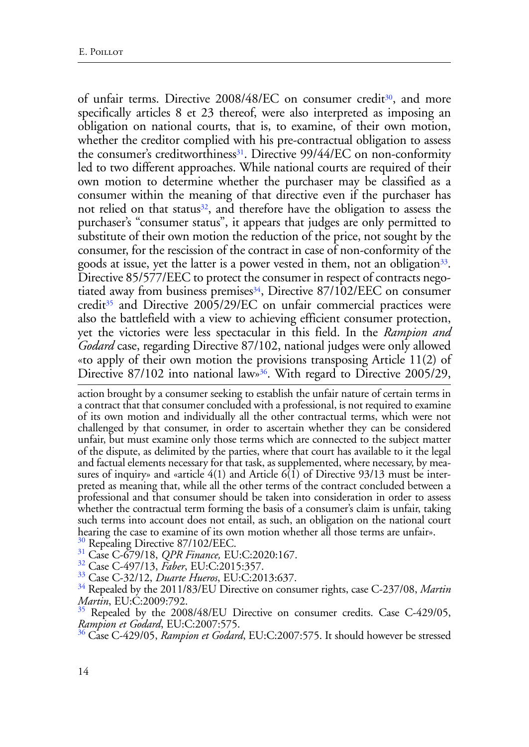of unfair terms. Directive 2008/48/EC on consumer credit<sup>30</sup>, and more specifically articles 8 et 23 thereof, were also interpreted as imposing an obligation on national courts, that is, to examine, of their own motion, whether the creditor complied with his pre-contractual obligation to assess the consumer's creditworthiness<sup>31</sup>. Directive 99/44/EC on non-conformity led to two different approaches. While national courts are required of their own motion to determine whether the purchaser may be classified as a consumer within the meaning of that directive even if the purchaser has not relied on that status<sup>32</sup>, and therefore have the obligation to assess the purchaser's "consumer status", it appears that judges are only permitted to substitute of their own motion the reduction of the price, not sought by the consumer, for the rescission of the contract in case of non-conformity of the goods at issue, yet the latter is a power vested in them, not an obligation<sup>33</sup>. Directive 85/577/EEC to protect the consumer in respect of contracts negotiated away from business premises<sup>34</sup>, Directive 87/102/EEC on consumer credit<sup>35</sup> and Directive 2005/29/EC on unfair commercial practices were also the battlefield with a view to achieving efficient consumer protection, yet the victories were less spectacular in this field. In the *Rampion and Godard* case, regarding Directive 87/102, national judges were only allowed «to apply of their own motion the provisions transposing Article 11(2) of Directive 87/102 into national law»<sup>36</sup>. With regard to Directive 2005/29,

action brought by a consumer seeking to establish the unfair nature of certain terms in a contract that that consumer concluded with a professional, is not required to examine of its own motion and individually all the other contractual terms, which were not challenged by that consumer, in order to ascertain whether they can be considered unfair, but must examine only those terms which are connected to the subject matter of the dispute, as delimited by the parties, where that court has available to it the legal and factual elements necessary for that task, as supplemented, where necessary, by measures of inquiry» and «article 4(1) and Article 6(1) of Directive 93/13 must be interpreted as meaning that, while all the other terms of the contract concluded between a professional and that consumer should be taken into consideration in order to assess whether the contractual term forming the basis of a consumer's claim is unfair, taking such terms into account does not entail, as such, an obligation on the national court hearing the case to examine of its own motion whether all those terms are unfair».<br><sup>30</sup> Repealing Directive 87/102/EEC.

<sup>31</sup> Case C-679/18, *QPR Finance*, *EU*:C:2020:167.

32 Case C-497/13, *Faber*, EU:C:2015:357.

33 Case C-32/12, *Duarte Hueros*, EU:C:2013:637.

34 Repealed by the 2011/83/EU Directive on consumer rights, case C-237/08, *Martin Martin*, EU:C:2009:792.

 $35$  Repealed by the 2008/48/EU Directive on consumer credits. Case C-429/05, *Rampion et Godard*, EU:C:2007:575.

36 Case C-429/05, *Rampion et Godard*, EU:C:2007:575. It should however be stressed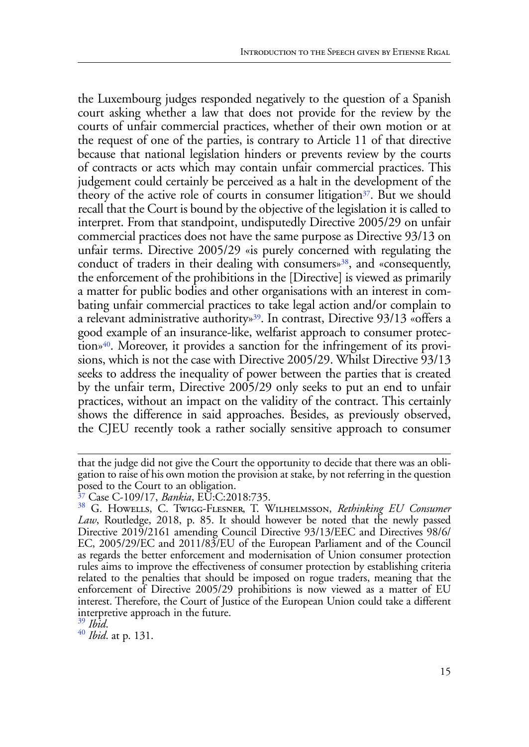the Luxembourg judges responded negatively to the question of a Spanish court asking whether a law that does not provide for the review by the courts of unfair commercial practices, whether of their own motion or at the request of one of the parties, is contrary to Article 11 of that directive because that national legislation hinders or prevents review by the courts of contracts or acts which may contain unfair commercial practices. This judgement could certainly be perceived as a halt in the development of the theory of the active role of courts in consumer litigation<sup>37</sup>. But we should recall that the Court is bound by the objective of the legislation it is called to interpret. From that standpoint, undisputedly Directive 2005/29 on unfair commercial practices does not have the same purpose as Directive 93/13 on unfair terms. Directive 2005/29 «is purely concerned with regulating the conduct of traders in their dealing with consumers»<sup>38</sup>, and «consequently, the enforcement of the prohibitions in the [Directive] is viewed as primarily a matter for public bodies and other organisations with an interest in combating unfair commercial practices to take legal action and/or complain to a relevant administrative authority»39. In contrast, Directive 93/13 «offers a good example of an insurance-like, welfarist approach to consumer protection»40. Moreover, it provides a sanction for the infringement of its provisions, which is not the case with Directive 2005/29. Whilst Directive 93/13 seeks to address the inequality of power between the parties that is created by the unfair term, Directive 2005/29 only seeks to put an end to unfair practices, without an impact on the validity of the contract. This certainly shows the difference in said approaches. Besides, as previously observed, the CJEU recently took a rather socially sensitive approach to consumer

that the judge did not give the Court the opportunity to decide that there was an obligation to raise of his own motion the provision at stake, by not referring in the question posed to the Court to an obligation.

<sup>37</sup> Case C-109/17, *Bankia*, EU:C:2018:735.

<sup>38</sup> G. Howells, C. Twigg-Flesner, T. Wilhelmsson, *Rethinking EU Consumer Law*, Routledge, 2018, p. 85. It should however be noted that the newly passed Directive 2019/2161 amending Council Directive 93/13/EEC and Directives 98/6/ EC, 2005/29/EC and 2011/83/EU of the European Parliament and of the Council as regards the better enforcement and modernisation of Union consumer protection rules aims to improve the effectiveness of consumer protection by establishing criteria related to the penalties that should be imposed on rogue traders, meaning that the enforcement of Directive 2005/29 prohibitions is now viewed as a matter of EU interest. Therefore, the Court of Justice of the European Union could take a different interpretive approach in the future.<br><sup>39</sup> Ibid.

<sup>39</sup> *Ibid*. <sup>40</sup> *Ibid*. at p. 131.